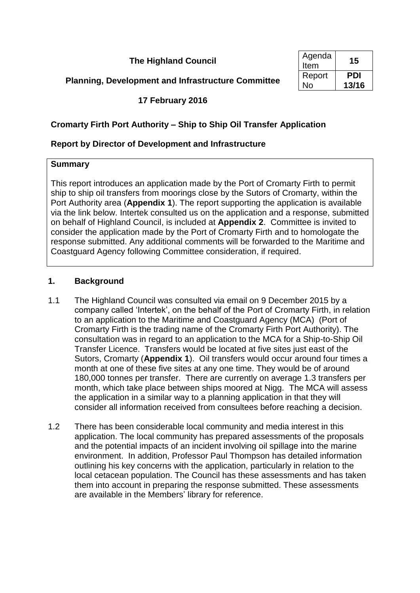**The Highland Council** 

**Planning, Development and Infrastructure Committee** 

| Agenda<br>Item | 15    |
|----------------|-------|
| Report         | PDI   |
| N٥             | 13/16 |

**17 February 2016**

# **Cromarty Firth Port Authority – Ship to Ship Oil Transfer Application**

# **Report by Director of Development and Infrastructure**

### **Summary**

This report introduces an application made by the Port of Cromarty Firth to permit ship to ship oil transfers from moorings close by the Sutors of Cromarty, within the Port Authority area (**Appendix 1**). The report supporting the application is available via the link below. Intertek consulted us on the application and a response, submitted on behalf of Highland Council, is included at **Appendix 2**. Committee is invited to consider the application made by the Port of Cromarty Firth and to homologate the response submitted. Any additional comments will be forwarded to the Maritime and Coastguard Agency following Committee consideration, if required.

## **1. Background**

- 1.1 The Highland Council was consulted via email on 9 December 2015 by a company called 'Intertek', on the behalf of the Port of Cromarty Firth, in relation to an application to the Maritime and Coastguard Agency (MCA) (Port of Cromarty Firth is the trading name of the Cromarty Firth Port Authority). The consultation was in regard to an application to the MCA for a Ship-to-Ship Oil Transfer Licence. Transfers would be located at five sites just east of the Sutors, Cromarty (**Appendix 1**). Oil transfers would occur around four times a month at one of these five sites at any one time. They would be of around 180,000 tonnes per transfer. There are currently on average 1.3 transfers per month, which take place between ships moored at Nigg. The MCA will assess the application in a similar way to a planning application in that they will consider all information received from consultees before reaching a decision.
- 1.2 There has been considerable local community and media interest in this application. The local community has prepared assessments of the proposals and the potential impacts of an incident involving oil spillage into the marine environment. In addition, Professor Paul Thompson has detailed information outlining his key concerns with the application, particularly in relation to the local cetacean population. The Council has these assessments and has taken them into account in preparing the response submitted. These assessments are available in the Members' library for reference.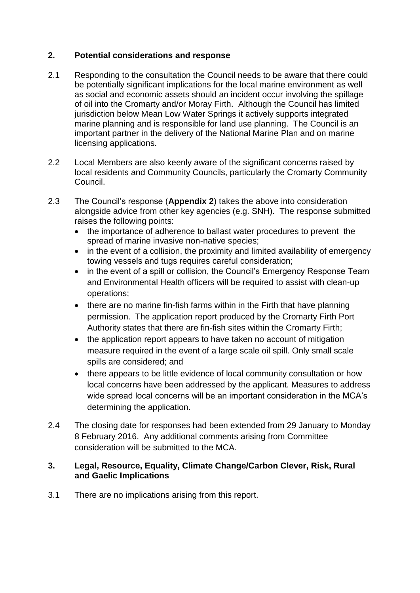# **2. Potential considerations and response**

- 2.1 Responding to the consultation the Council needs to be aware that there could be potentially significant implications for the local marine environment as well as social and economic assets should an incident occur involving the spillage of oil into the Cromarty and/or Moray Firth. Although the Council has limited jurisdiction below Mean Low Water Springs it actively supports integrated marine planning and is responsible for land use planning. The Council is an important partner in the delivery of the National Marine Plan and on marine licensing applications.
- 2.2 Local Members are also keenly aware of the significant concerns raised by local residents and Community Councils, particularly the Cromarty Community Council.
- 2.3 The Council's response (**Appendix 2**) takes the above into consideration alongside advice from other key agencies (e.g. SNH). The response submitted raises the following points:
	- the importance of adherence to ballast water procedures to prevent the spread of marine invasive non-native species;
	- in the event of a collision, the proximity and limited availability of emergency towing vessels and tugs requires careful consideration;
	- in the event of a spill or collision, the Council's Emergency Response Team and Environmental Health officers will be required to assist with clean-up operations;
	- there are no marine fin-fish farms within in the Firth that have planning permission. The application report produced by the Cromarty Firth Port Authority states that there are fin-fish sites within the Cromarty Firth;
	- the application report appears to have taken no account of mitigation measure required in the event of a large scale oil spill. Only small scale spills are considered; and
	- there appears to be little evidence of local community consultation or how local concerns have been addressed by the applicant. Measures to address wide spread local concerns will be an important consideration in the MCA's determining the application.
- 2.4 The closing date for responses had been extended from 29 January to Monday 8 February 2016. Any additional comments arising from Committee consideration will be submitted to the MCA.

### **3. Legal, Resource, Equality, Climate Change/Carbon Clever, Risk, Rural and Gaelic Implications**

3.1 There are no implications arising from this report.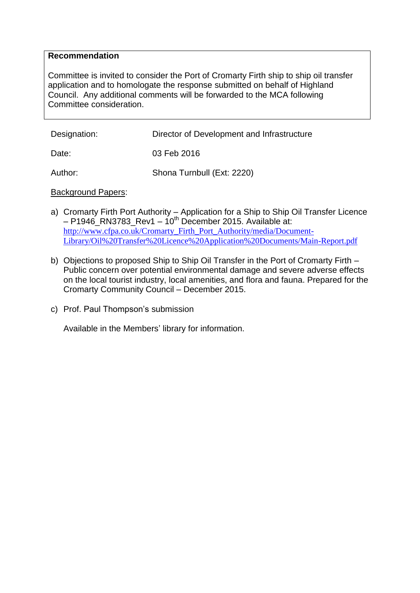#### **Recommendation**

Committee is invited to consider the Port of Cromarty Firth ship to ship oil transfer application and to homologate the response submitted on behalf of Highland Council. Any additional comments will be forwarded to the MCA following Committee consideration.

| Designation: | Director of Development and Infrastructure |
|--------------|--------------------------------------------|
| Date:        | 03 Feb 2016                                |
| Author:      | Shona Turnbull (Ext: 2220)                 |

#### Background Papers:

- a) Cromarty Firth Port Authority Application for a Ship to Ship Oil Transfer Licence  $-$  P1946\_RN3783\_Rev1 – 10<sup>th</sup> December 2015. Available at: [http://www.cfpa.co.uk/Cromarty\\_Firth\\_Port\\_Authority/media/Document-](http://www.cfpa.co.uk/Cromarty_Firth_Port_Authority/media/Document-Library/Oil%20Transfer%20Licence%20Application%20Documents/Main-Report.pdf)[Library/Oil%20Transfer%20Licence%20Application%20Documents/Main-Report.pdf](http://www.cfpa.co.uk/Cromarty_Firth_Port_Authority/media/Document-Library/Oil%20Transfer%20Licence%20Application%20Documents/Main-Report.pdf)
- b) Objections to proposed Ship to Ship Oil Transfer in the Port of Cromarty Firth Public concern over potential environmental damage and severe adverse effects on the local tourist industry, local amenities, and flora and fauna. Prepared for the Cromarty Community Council – December 2015.
- c) Prof. Paul Thompson's submission

Available in the Members' library for information.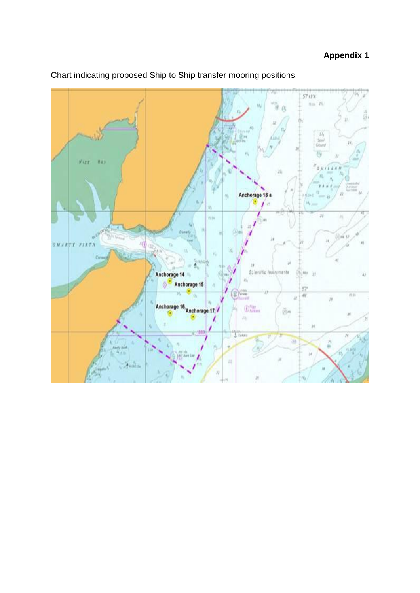

Chart indicating proposed Ship to Ship transfer mooring positions.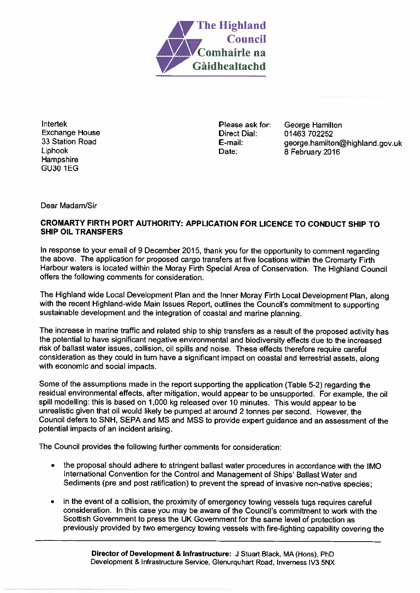

Intertek **Exchange House** 33 Station Road Liphook Hampshire **GU30 1EG** 

Please ask for: **Direct Dial:** E-mail: Date:

George Hamilton 01463 702252 george.hamilton@highland.gov.uk 8 February 2016

Dear Madam/Sir

#### CROMARTY FIRTH PORT AUTHORITY: APPLICATION FOR LICENCE TO CONDUCT SHIP TO **SHIP OIL TRANSFERS**

In response to your email of 9 December 2015, thank you for the opportunity to comment regarding the above. The application for proposed cargo transfers at five locations within the Cromarty Firth Harbour waters is located within the Moray Firth Special Area of Conservation. The Highland Council offers the following comments for consideration.

The Highland wide Local Development Plan and the Inner Moray Firth Local Development Plan, along with the recent Highland-wide Main Issues Report, outlines the Council's commitment to supporting sustainable development and the integration of coastal and marine planning.

The increase in marine traffic and related ship to ship transfers as a result of the proposed activity has the potential to have significant negative environmental and biodiversity effects due to the increased risk of ballast water issues, collision, oil spills and noise. These effects therefore require careful consideration as they could in turn have a significant impact on coastal and terrestrial assets, along with economic and social impacts.

Some of the assumptions made in the report supporting the application (Table 5-2) regarding the residual environmental effects, after mitigation, would appear to be unsupported. For example, the oil spill modelling: this is based on 1,000 kg released over 10 minutes. This would appear to be unrealistic given that oil would likely be pumped at around 2 tonnes per second. However, the Council defers to SNH, SEPA and MS and MSS to provide expert guidance and an assessment of the potential impacts of an incident arising.

The Council provides the following further comments for consideration:

- the proposal should adhere to stringent ballast water procedures in accordance with the IMO International Convention for the Control and Management of Ships' Ballast Water and Sediments (pre and post ratification) to prevent the spread of invasive non-native species;
- in the event of a collision, the proximity of emergency towing vessels tugs requires careful consideration. In this case you may be aware of the Council's commitment to work with the Scottish Government to press the UK Government for the same level of protection as previously provided by two emergency towing vessels with fire-fighting capability covering the